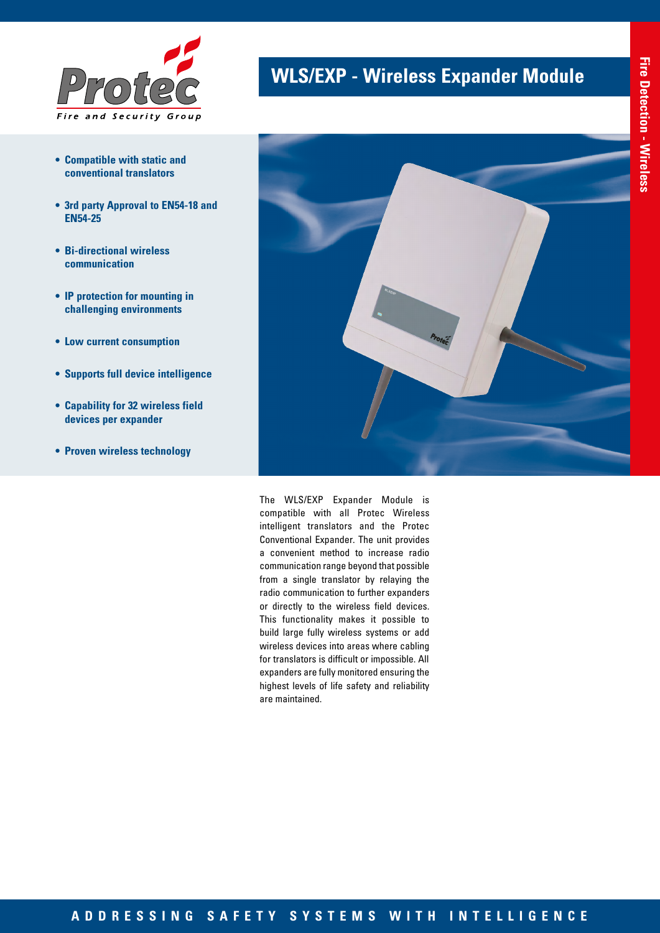

- **• Compatible with static and conventional translators**
- **• 3rd party Approval to EN54-18 and EN54-25**
- **• Bi-directional wireless communication**
- **• IP protection for mounting in challenging environments**
- **• Low current consumption**
- **• Supports full device intelligence**
- **• Capability for 32 wireless field devices per expander**
- **• Proven wireless technology**

## **WLS/EXP - Wireless Expander Module**



The WLS/EXP Expander Module is compatible with all Protec Wireless intelligent translators and the Protec Conventional Expander. The unit provides a convenient method to increase radio communication range beyond that possible from a single translator by relaying the radio communication to further expanders or directly to the wireless field devices. This functionality makes it possible to build large fully wireless systems or add wireless devices into areas where cabling for translators is difficult or impossible. All expanders are fully monitored ensuring the highest levels of life safety and reliability are maintained.